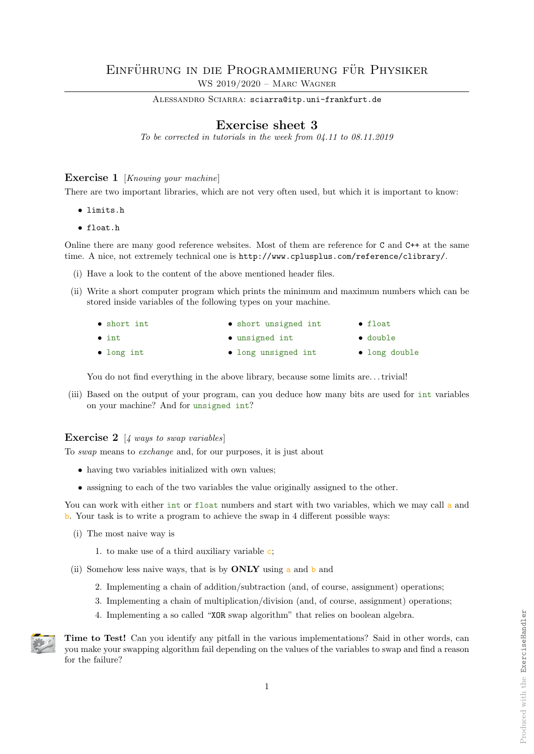ALESSANDRO SCIARRA: sciarra@itp.uni-frankfurt.de

## Exercise sheet 3

To be corrected in tutorials in the week from 04.11 to 08.11.2019

## Exercise 1 [Knowing your machine]

There are two important libraries, which are not very often used, but which it is important to know:

- limits.h
- float.h

Online there are many good reference websites. Most of them are reference for C and C++ at the same time. A nice, not extremely technical one is http://www.cplusplus.com/reference/clibrary/.

- (i) Have a look to the content of the above mentioned header files.
- (ii) Write a short computer program which prints the minimum and maximum numbers which can be stored inside variables of the following types on your machine.

| $\bullet$ short int | • short unsigned int | $\bullet$ float  |
|---------------------|----------------------|------------------|
| $\bullet$ int       | • unsigned int       | $\bullet$ double |
| $\bullet$ long int  | • long unsigned int  | • long double    |

You do not find everything in the above library, because some limits are...trivial!

(iii) Based on the output of your program, can you deduce how many bits are used for int variables on your machine? And for unsigned int?

## **Exercise 2** [4 ways to swap variables]

To swap means to exchange and, for our purposes, it is just about

- having two variables initialized with own values;
- assigning to each of the two variables the value originally assigned to the other.

You can work with either int or float numbers and start with two variables, which we may call a and b. Your task is to write a program to achieve the swap in 4 different possible ways:

(i) The most naive way is

1. to make use of a third auxiliary variable c;

- (ii) Somehow less naive ways, that is by ONLY using a and b and
	- 2. Implementing a chain of addition/subtraction (and, of course, assignment) operations;
	- 3. Implementing a chain of multiplication/division (and, of course, assignment) operations;
	- 4. Implementing a so called "XOR swap algorithm" that relies on boolean algebra.



Time to Test! Can you identify any pitfall in the various implementations? Said in other words, can you make your swapping algorithm fail depending on the values of the variables to swap and find a reason for the failure?